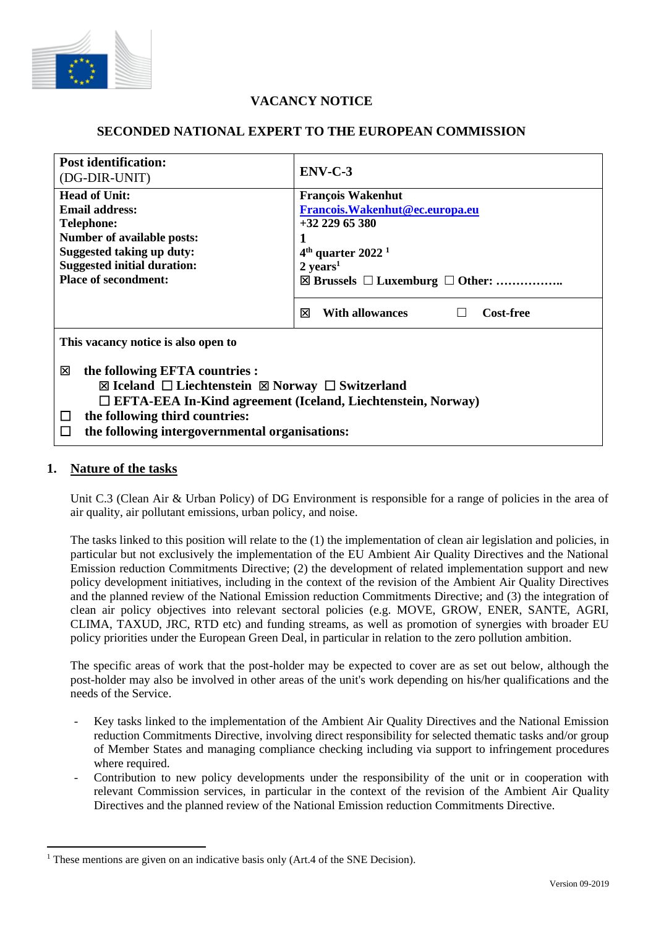

# **VACANCY NOTICE**

## **SECONDED NATIONAL EXPERT TO THE EUROPEAN COMMISSION**

| <b>Post identification:</b><br>(DG-DIR-UNIT)                         | $ENV-C-3$                                           |
|----------------------------------------------------------------------|-----------------------------------------------------|
| <b>Head of Unit:</b>                                                 | <b>François Wakenhut</b>                            |
| <b>Email address:</b>                                                | Francois. Wakenhut@ec.europa.eu                     |
| <b>Telephone:</b>                                                    | $+3222965380$                                       |
| <b>Number of available posts:</b>                                    |                                                     |
| Suggested taking up duty:                                            | $4th$ quarter 2022 <sup>1</sup>                     |
| <b>Suggested initial duration:</b>                                   | $2 \text{ years}^1$                                 |
| <b>Place of secondment:</b>                                          | $\boxtimes$ Brussels $\Box$ Luxemburg $\Box$ Other: |
|                                                                      |                                                     |
|                                                                      | 冈<br><b>With allowances</b><br><b>Cost-free</b>     |
| This vacancy notice is also open to                                  |                                                     |
| the following EFTA countries :<br>⊠                                  |                                                     |
| ⊠ Iceland $\Box$ Liechtenstein $\boxtimes$ Norway $\Box$ Switzerland |                                                     |
| $\Box$ EFTA-EEA In-Kind agreement (Iceland, Liechtenstein, Norway)   |                                                     |
| the following third countries:<br>$\Box$                             |                                                     |
|                                                                      |                                                     |
| the following intergovernmental organisations:<br>Ħ                  |                                                     |

## **1. Nature of the tasks**

Unit C.3 (Clean Air & Urban Policy) of DG Environment is responsible for a range of policies in the area of air quality, air pollutant emissions, urban policy, and noise.

The tasks linked to this position will relate to the (1) the implementation of clean air legislation and policies, in particular but not exclusively the implementation of the EU Ambient Air Quality Directives and the National Emission reduction Commitments Directive; (2) the development of related implementation support and new policy development initiatives, including in the context of the revision of the Ambient Air Quality Directives and the planned review of the National Emission reduction Commitments Directive; and (3) the integration of clean air policy objectives into relevant sectoral policies (e.g. MOVE, GROW, ENER, SANTE, AGRI, CLIMA, TAXUD, JRC, RTD etc) and funding streams, as well as promotion of synergies with broader EU policy priorities under the European Green Deal, in particular in relation to the zero pollution ambition.

The specific areas of work that the post-holder may be expected to cover are as set out below, although the post-holder may also be involved in other areas of the unit's work depending on his/her qualifications and the needs of the Service.

- Key tasks linked to the implementation of the Ambient Air Quality Directives and the National Emission reduction Commitments Directive, involving direct responsibility for selected thematic tasks and/or group of Member States and managing compliance checking including via support to infringement procedures where required.
- Contribution to new policy developments under the responsibility of the unit or in cooperation with relevant Commission services, in particular in the context of the revision of the Ambient Air Quality Directives and the planned review of the National Emission reduction Commitments Directive.

<sup>&</sup>lt;sup>1</sup> These mentions are given on an indicative basis only (Art.4 of the SNE Decision).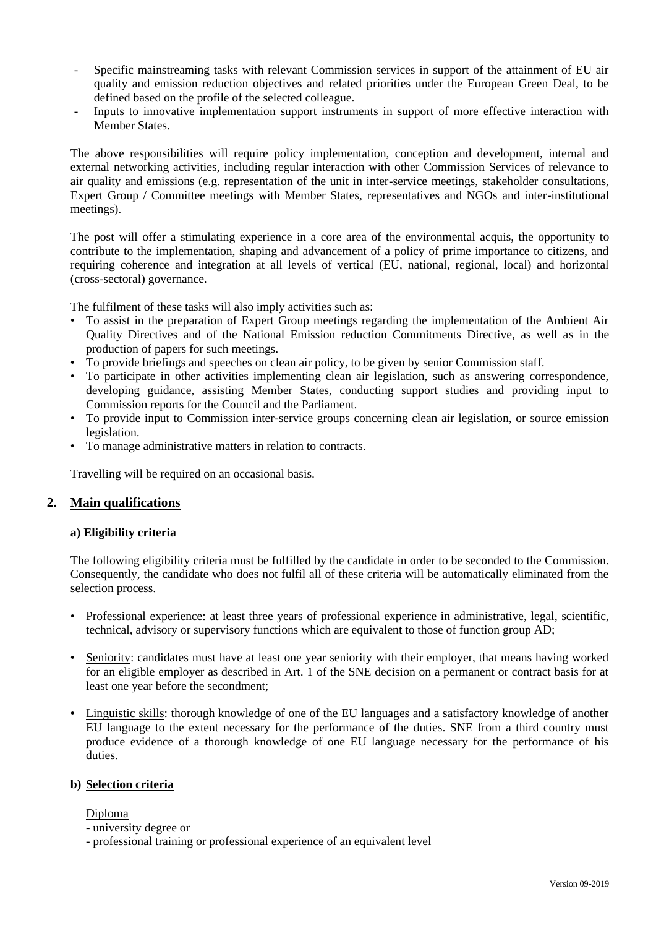- Specific mainstreaming tasks with relevant Commission services in support of the attainment of EU air quality and emission reduction objectives and related priorities under the European Green Deal, to be defined based on the profile of the selected colleague.
- Inputs to innovative implementation support instruments in support of more effective interaction with Member States.

The above responsibilities will require policy implementation, conception and development, internal and external networking activities, including regular interaction with other Commission Services of relevance to air quality and emissions (e.g. representation of the unit in inter-service meetings, stakeholder consultations, Expert Group / Committee meetings with Member States, representatives and NGOs and inter-institutional meetings).

The post will offer a stimulating experience in a core area of the environmental acquis, the opportunity to contribute to the implementation, shaping and advancement of a policy of prime importance to citizens, and requiring coherence and integration at all levels of vertical (EU, national, regional, local) and horizontal (cross-sectoral) governance.

The fulfilment of these tasks will also imply activities such as:

- To assist in the preparation of Expert Group meetings regarding the implementation of the Ambient Air Quality Directives and of the National Emission reduction Commitments Directive, as well as in the production of papers for such meetings.
- To provide briefings and speeches on clean air policy, to be given by senior Commission staff.
- To participate in other activities implementing clean air legislation, such as answering correspondence, developing guidance, assisting Member States, conducting support studies and providing input to Commission reports for the Council and the Parliament.
- To provide input to Commission inter-service groups concerning clean air legislation, or source emission legislation.
- To manage administrative matters in relation to contracts.

Travelling will be required on an occasional basis.

### **2. Main qualifications**

#### **a) Eligibility criteria**

The following eligibility criteria must be fulfilled by the candidate in order to be seconded to the Commission. Consequently, the candidate who does not fulfil all of these criteria will be automatically eliminated from the selection process.

- Professional experience: at least three years of professional experience in administrative, legal, scientific, technical, advisory or supervisory functions which are equivalent to those of function group AD;
- Seniority: candidates must have at least one year seniority with their employer, that means having worked for an eligible employer as described in Art. 1 of the SNE decision on a permanent or contract basis for at least one year before the secondment;
- Linguistic skills: thorough knowledge of one of the EU languages and a satisfactory knowledge of another EU language to the extent necessary for the performance of the duties. SNE from a third country must produce evidence of a thorough knowledge of one EU language necessary for the performance of his duties.

#### **b) Selection criteria**

#### Diploma

- university degree or
- professional training or professional experience of an equivalent level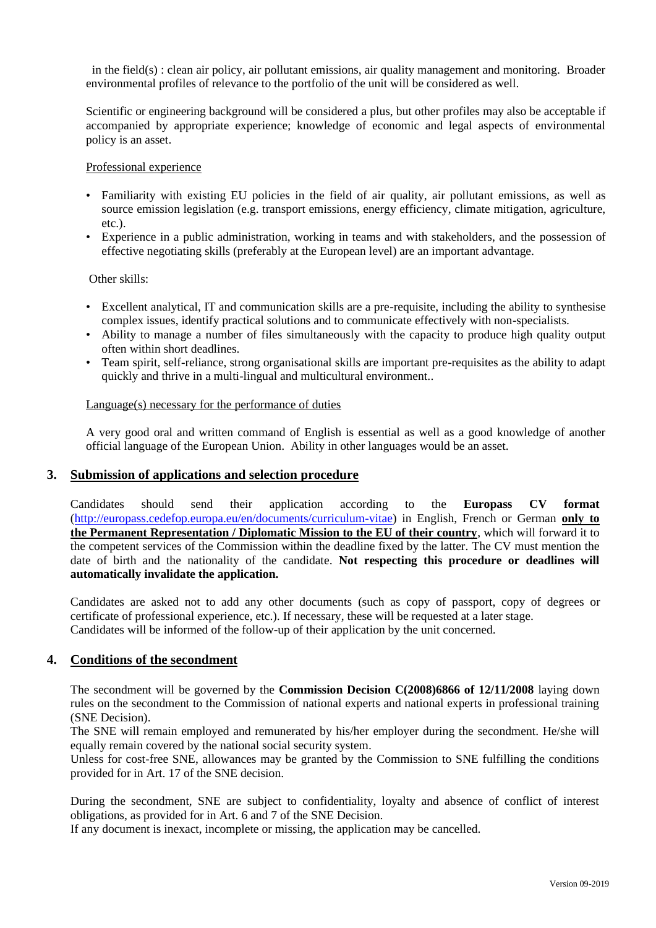in the field(s) : clean air policy, air pollutant emissions, air quality management and monitoring. Broader environmental profiles of relevance to the portfolio of the unit will be considered as well.

Scientific or engineering background will be considered a plus, but other profiles may also be acceptable if accompanied by appropriate experience; knowledge of economic and legal aspects of environmental policy is an asset.

#### Professional experience

- Familiarity with existing EU policies in the field of air quality, air pollutant emissions, as well as source emission legislation (e.g. transport emissions, energy efficiency, climate mitigation, agriculture, etc.).
- Experience in a public administration, working in teams and with stakeholders, and the possession of effective negotiating skills (preferably at the European level) are an important advantage.

#### Other skills:

- Excellent analytical, IT and communication skills are a pre-requisite, including the ability to synthesise complex issues, identify practical solutions and to communicate effectively with non-specialists.
- Ability to manage a number of files simultaneously with the capacity to produce high quality output often within short deadlines.
- Team spirit, self-reliance, strong organisational skills are important pre-requisites as the ability to adapt quickly and thrive in a multi-lingual and multicultural environment..

## Language(s) necessary for the performance of duties

A very good oral and written command of English is essential as well as a good knowledge of another official language of the European Union. Ability in other languages would be an asset.

### **3. Submission of applications and selection procedure**

Candidates should send their application according to the **Europass CV format**  [\(http://europass.cedefop.europa.eu/en/documents/curriculum-vitae\)](http://europass.cedefop.europa.eu/en/documents/curriculum-vitae) in English, French or German **only to the Permanent Representation / Diplomatic Mission to the EU of their country**, which will forward it to the competent services of the Commission within the deadline fixed by the latter. The CV must mention the date of birth and the nationality of the candidate. **Not respecting this procedure or deadlines will automatically invalidate the application.**

Candidates are asked not to add any other documents (such as copy of passport, copy of degrees or certificate of professional experience, etc.). If necessary, these will be requested at a later stage. Candidates will be informed of the follow-up of their application by the unit concerned.

### **4. Conditions of the secondment**

The secondment will be governed by the **Commission Decision C(2008)6866 of 12/11/2008** laying down rules on the secondment to the Commission of national experts and national experts in professional training (SNE Decision).

The SNE will remain employed and remunerated by his/her employer during the secondment. He/she will equally remain covered by the national social security system.

Unless for cost-free SNE, allowances may be granted by the Commission to SNE fulfilling the conditions provided for in Art. 17 of the SNE decision.

During the secondment, SNE are subject to confidentiality, loyalty and absence of conflict of interest obligations, as provided for in Art. 6 and 7 of the SNE Decision.

If any document is inexact, incomplete or missing, the application may be cancelled.